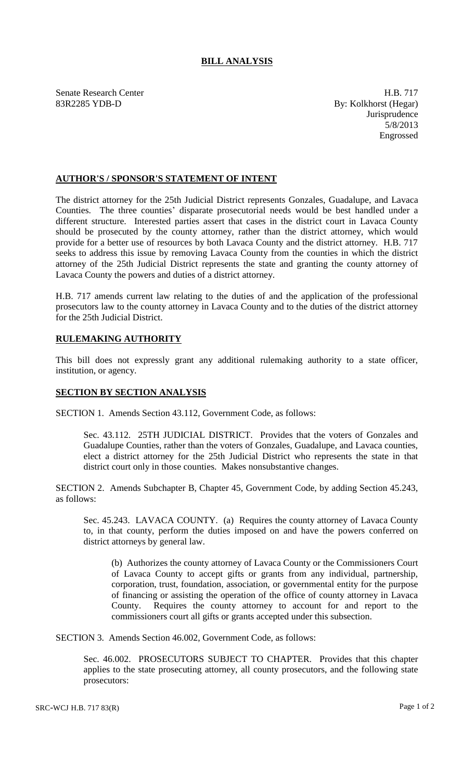## **BILL ANALYSIS**

Senate Research Center **H.B. 717** 83R2285 YDB-D By: Kolkhorst (Hegar)

Jurisprudence 5/8/2013 Engrossed

## **AUTHOR'S / SPONSOR'S STATEMENT OF INTENT**

The district attorney for the 25th Judicial District represents Gonzales, Guadalupe, and Lavaca Counties. The three counties' disparate prosecutorial needs would be best handled under a different structure. Interested parties assert that cases in the district court in Lavaca County should be prosecuted by the county attorney, rather than the district attorney, which would provide for a better use of resources by both Lavaca County and the district attorney. H.B. 717 seeks to address this issue by removing Lavaca County from the counties in which the district attorney of the 25th Judicial District represents the state and granting the county attorney of Lavaca County the powers and duties of a district attorney.

H.B. 717 amends current law relating to the duties of and the application of the professional prosecutors law to the county attorney in Lavaca County and to the duties of the district attorney for the 25th Judicial District.

## **RULEMAKING AUTHORITY**

This bill does not expressly grant any additional rulemaking authority to a state officer, institution, or agency.

## **SECTION BY SECTION ANALYSIS**

SECTION 1. Amends Section 43.112, Government Code, as follows:

Sec. 43.112. 25TH JUDICIAL DISTRICT. Provides that the voters of Gonzales and Guadalupe Counties, rather than the voters of Gonzales, Guadalupe, and Lavaca counties, elect a district attorney for the 25th Judicial District who represents the state in that district court only in those counties. Makes nonsubstantive changes.

SECTION 2. Amends Subchapter B, Chapter 45, Government Code, by adding Section 45.243, as follows:

Sec. 45.243. LAVACA COUNTY. (a) Requires the county attorney of Lavaca County to, in that county, perform the duties imposed on and have the powers conferred on district attorneys by general law.

(b) Authorizes the county attorney of Lavaca County or the Commissioners Court of Lavaca County to accept gifts or grants from any individual, partnership, corporation, trust, foundation, association, or governmental entity for the purpose of financing or assisting the operation of the office of county attorney in Lavaca County. Requires the county attorney to account for and report to the commissioners court all gifts or grants accepted under this subsection.

SECTION 3. Amends Section 46.002, Government Code, as follows:

Sec. 46.002. PROSECUTORS SUBJECT TO CHAPTER. Provides that this chapter applies to the state prosecuting attorney, all county prosecutors, and the following state prosecutors: